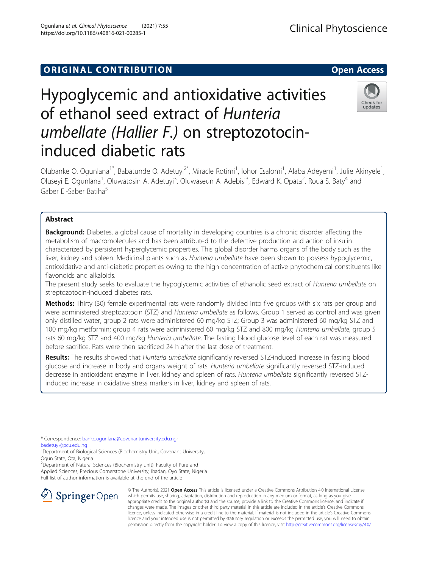## **ORIGINAL CONTRIBUTION CONTRIBUTION**

# Hypoglycemic and antioxidative activities of ethanol seed extract of Hunteria umbellate (Hallier F.) on streptozotocininduced diabetic rats

Olubanke O. Ogunlana<sup>1\*</sup>, Babatunde O. Adetuyi<sup>2\*</sup>, Miracle Rotimi<sup>1</sup>, lohor Esalomi<sup>1</sup>, Alaba Adeyemi<sup>1</sup>, Julie Akinyele<sup>1</sup> , Oluseyi E. Ogunlana<sup>1</sup>, Oluwatosin A. Adetuyi<sup>3</sup>, Oluwaseun A. Adebisi<sup>3</sup>, Edward K. Opata<sup>2</sup>, Roua S. Baty<sup>4</sup> and Gaber El-Saber Batiha<sup>5</sup>

## Abstract

**Background:** Diabetes, a global cause of mortality in developing countries is a chronic disorder affecting the metabolism of macromolecules and has been attributed to the defective production and action of insulin characterized by persistent hyperglycemic properties. This global disorder harms organs of the body such as the liver, kidney and spleen. Medicinal plants such as Hunteria umbellate have been shown to possess hypoglycemic, antioxidative and anti-diabetic properties owing to the high concentration of active phytochemical constituents like flavonoids and alkaloids.

The present study seeks to evaluate the hypoglycemic activities of ethanolic seed extract of Hunteria umbellate on streptozotocin-induced diabetes rats.

**Methods:** Thirty (30) female experimental rats were randomly divided into five groups with six rats per group and were administered streptozotocin (STZ) and Hunteria umbellate as follows. Group 1 served as control and was given only distilled water, group 2 rats were administered 60 mg/kg STZ; Group 3 was administered 60 mg/kg STZ and 100 mg/kg metformin; group 4 rats were administered 60 mg/kg STZ and 800 mg/kg Hunteria umbellate, group 5 rats 60 mg/kg STZ and 400 mg/kg Hunteria umbellate. The fasting blood glucose level of each rat was measured before sacrifice. Rats were then sacrificed 24 h after the last dose of treatment.

Results: The results showed that Hunteria umbellate significantly reversed STZ-induced increase in fasting blood glucose and increase in body and organs weight of rats. Hunteria umbellate significantly reversed STZ-induced decrease in antioxidant enzyme in liver, kidney and spleen of rats. Hunteria umbellate significantly reversed STZinduced increase in oxidative stress markers in liver, kidney and spleen of rats.

\* Correspondence: [banke.ogunlana@covenantuniversity.edu.ng;](mailto:banke.ogunlana@covenantuniversity.edu.ng) [badetuyi@pcu.edu.ng](mailto:badetuyi@pcu.edu.ng)

<sup>2</sup> Department of Natural Sciences (Biochemistry unit), Faculty of Pure and Applied Sciences, Precious Cornerstone University, Ibadan, Oyo State, Nigeria Full list of author information is available at the end of the article

> © The Author(s). 2021 Open Access This article is licensed under a Creative Commons Attribution 4.0 International License, which permits use, sharing, adaptation, distribution and reproduction in any medium or format, as long as you give appropriate credit to the original author(s) and the source, provide a link to the Creative Commons licence, and indicate if changes were made. The images or other third party material in this article are included in the article's Creative Commons licence, unless indicated otherwise in a credit line to the material. If material is not included in the article's Creative Commons licence and your intended use is not permitted by statutory regulation or exceeds the permitted use, you will need to obtain permission directly from the copyright holder. To view a copy of this licence, visit <http://creativecommons.org/licenses/by/4.0/>.





<sup>&</sup>lt;sup>1</sup>Department of Biological Sciences (Biochemistry Unit, Covenant University, Ogun State, Ota, Nigeria

Ogunlana et al. Clinical Phytoscience (2021) 7:55 https://doi.org/10.1186/s40816-021-00285-1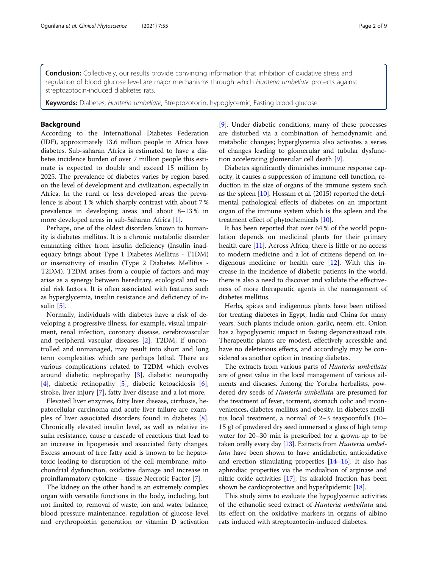**Conclusion:** Collectively, our results provide convincing information that inhibition of oxidative stress and regulation of blood glucose level are major mechanisms through which Hunteria umbellate protects against streptozotocin-induced diabketes rats.

Keywords: Diabetes, Hunteria umbellate, Streptozotocin, hypoglycemic, Fasting blood glucose

## Background

According to the International Diabetes Federation (IDF), approximately 13.6 million people in Africa have diabetes. Sub-saharan Africa is estimated to have a diabetes incidence burden of over 7 million people this estimate is expected to double and exceed 15 million by 2025. The prevalence of diabetes varies by region based on the level of development and civilization, especially in Africa. In the rural or less developed areas the prevalence is about 1 % which sharply contrast with about 7 % prevalence in developing areas and about 8–13 % in more developed areas in sub-Saharan Africa [[1\]](#page-7-0).

Perhaps, one of the oldest disorders known to humanity is diabetes mellitus. It is a chronic metabolic disorder emanating either from insulin deficiency (Insulin inadequacy brings about Type 1 Diabetes Mellitus - T1DM) or insensitivity of insulin (Type 2 Diabetes Mellitus - T2DM). T2DM arises from a couple of factors and may arise as a synergy between hereditary, ecological and social risk factors. It is often associated with features such as hyperglycemia, insulin resistance and deficiency of insulin [\[5](#page-7-0)].

Normally, individuals with diabetes have a risk of developing a progressive illness, for example, visual impairment, renal infection, coronary disease, cerebrovascular and peripheral vascular diseases [\[2](#page-7-0)]. T2DM, if uncontrolled and unmanaged, may result into short and long term complexities which are perhaps lethal. There are various complications related to T2DM which evolves around diabetic nephropathy [\[3](#page-7-0)], diabetic neuropathy [[4\]](#page-7-0), diabetic retinopathy [[5\]](#page-7-0), diabetic ketoacidosis [\[6](#page-7-0)], stroke, liver injury [\[7](#page-7-0)], fatty liver disease and a lot more.

Elevated liver enzymes, fatty liver disease, cirrhosis, hepatocellular carcinoma and acute liver failure are examples of liver associated disorders found in diabetes [\[8](#page-7-0)]. Chronically elevated insulin level, as well as relative insulin resistance, cause a cascade of reactions that lead to an increase in lipogenesis and associated fatty changes. Excess amount of free fatty acid is known to be hepatotoxic leading to disruption of the cell membrane, mitochondrial dysfunction, oxidative damage and increase in proinflammatory cytokine – tissue Necrotic Factor [[7\]](#page-7-0).

The kidney on the other hand is an extremely complex organ with versatile functions in the body, including, but not limited to, removal of waste, ion and water balance, blood pressure maintenance, regulation of glucose level and erythropoietin generation or vitamin D activation [[9\]](#page-7-0). Under diabetic conditions, many of these processes are disturbed via a combination of hemodynamic and metabolic changes; hyperglycemia also activates a series of changes leading to glomerular and tubular dysfunction accelerating glomerular cell death [\[9](#page-7-0)].

Diabetes significantly diminishes immune response capacity, it causes a suppression of immune cell function, reduction in the size of organs of the immune system such as the spleen [[10](#page-7-0)]. Hossam et al. (2015) reported the detrimental pathological effects of diabetes on an important organ of the immune system which is the spleen and the treatment effect of phytochemicals [[10](#page-7-0)].

It has been reported that over 64 % of the world population depends on medicinal plants for their primary health care [[11](#page-7-0)]. Across Africa, there is little or no access to modern medicine and a lot of citizens depend on indigenous medicine or health care [[12](#page-7-0)]. With this increase in the incidence of diabetic patients in the world, there is also a need to discover and validate the effectiveness of more therapeutic agents in the management of diabetes mellitus.

Herbs, spices and indigenous plants have been utilized for treating diabetes in Egypt, India and China for many years. Such plants include onion, garlic, neem, etc. Onion has a hypoglycemic impact in fasting depancreatized rats. Therapeutic plants are modest, effectively accessible and have no deleterious effects, and accordingly may be considered as another option in treating diabetes.

The extracts from various parts of Hunteria umbellata are of great value in the local management of various ailments and diseases. Among the Yoruba herbalists, powdered dry seeds of Hunteria umbellata are presumed for the treatment of fever, torment, stomach colic and inconveniences, diabetes mellitus and obesity. In diabetes mellitus local treatment, a normal of 2–3 teaspoonful's (10– 15 g) of powdered dry seed immersed a glass of high temp water for 20–30 min is prescribed for a grown-up to be taken orally every day [\[13\]](#page-7-0). Extracts from Hunteria umbellata have been shown to have antidiabetic, antioxidative and erection stimulating properties [\[14](#page-7-0)–[16](#page-7-0)]. It also has aphrodiac properties via the modualtion of arginase and nitric oxide activities [\[17\]](#page-7-0), Its alkaloid fraction has been shown be cardioprotective and hyperlipidemic [\[18\]](#page-7-0).

This study aims to evaluate the hypoglycemic activities of the ethanolic seed extract of Hunteria umbellata and its effect on the oxidative markers in organs of albino rats induced with streptozotocin-induced diabetes.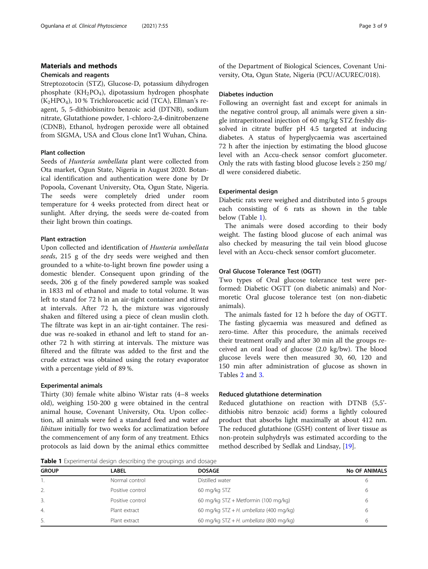## Materials and methods

#### Chemicals and reagents

Streptozotocin (STZ), Glucose-D, potassium dihydrogen phosphate ( $KH_2PO_4$ ), dipotassium hydrogen phosphate  $(K<sub>2</sub>HPO<sub>4</sub>)$ , 10 % Trichloroacetic acid (TCA), Ellman's reagent, 5, 5-dithiobisnitro benzoic acid (DTNB), sodium nitrate, Glutathione powder, 1-chloro-2,4-dinitrobenzene (CDNB), Ethanol, hydrogen peroxide were all obtained from SIGMA, USA and Clous clone Int'l Wuhan, China.

## Plant collection

Seeds of Hunteria umbellata plant were collected from Ota market, Ogun State, Nigeria in August 2020. Botanical identification and authentication were done by Dr Popoola, Covenant University, Ota, Ogun State, Nigeria. The seeds were completely dried under room temperature for 4 weeks protected from direct heat or sunlight. After drying, the seeds were de-coated from their light brown thin coatings.

## Plant extraction

Upon collected and identification of Hunteria umbellata seeds, 215 g of the dry seeds were weighed and then grounded to a white-to-light brown fine powder using a domestic blender. Consequent upon grinding of the seeds, 206 g of the finely powdered sample was soaked in 1833 ml of ethanol and made to total volume. It was left to stand for 72 h in an air-tight container and stirred at intervals. After 72 h, the mixture was vigorously shaken and filtered using a piece of clean muslin cloth. The filtrate was kept in an air-tight container. The residue was re-soaked in ethanol and left to stand for another 72 h with stirring at intervals. The mixture was filtered and the filtrate was added to the first and the crude extract was obtained using the rotary evaporator with a percentage yield of 89 %.

### Experimental animals

Thirty (30) female white albino Wistar rats (4–8 weeks old), weighing 150-200 g were obtained in the central animal house, Covenant University, Ota. Upon collection, all animals were fed a standard feed and water ad libitum initially for two weeks for acclimatization before the commencement of any form of any treatment. Ethics protocols as laid down by the animal ethics committee

of the Department of Biological Sciences, Covenant University, Ota, Ogun State, Nigeria (PCU/ACUREC/018).

#### Diabetes induction

Following an overnight fast and except for animals in the negative control group, all animals were given a single intraperitoneal injection of 60 mg/kg STZ freshly dissolved in citrate buffer pH 4.5 targeted at inducing diabetes. A status of hyperglycaemia was ascertained 72 h after the injection by estimating the blood glucose level with an Accu-check sensor comfort glucometer. Only the rats with fasting blood glucose levels  $\geq 250$  mg/ dl were considered diabetic.

## Experimental design

Diabetic rats were weighed and distributed into 5 groups each consisting of 6 rats as shown in the table below (Table 1).

The animals were dosed according to their body weight. The fasting blood glucose of each animal was also checked by measuring the tail vein blood glucose level with an Accu-check sensor comfort glucometer.

## Oral Glucose Tolerance Test (OGTT)

Two types of Oral glucose tolerance test were performed: Diabetic OGTT (on diabetic animals) and Normoretic Oral glucose tolerance test (on non-diabetic animals).

The animals fasted for 12 h before the day of OGTT. The fasting glycaemia was measured and defined as zero-time. After this procedure, the animals received their treatment orally and after 30 min all the groups received an oral load of glucose (2.0 kg/bw). The blood glucose levels were then measured 30, 60, 120 and 150 min after administration of glucose as shown in Tables [2](#page-3-0) and [3](#page-3-0).

#### Reduced glutathione determination

Reduced glutathione on reaction with DTNB (5,5' dithiobis nitro benzoic acid) forms a lightly coloured product that absorbs light maximally at about 412 nm. The reduced glutathione (GSH) content of liver tissue as non-protein sulphydryls was estimated according to the method described by Sedlak and Lindsay, [\[19\]](#page-7-0).

**Table 1** Experimental design describing the groupings and dosage

| <b>TWATE</b> . Experimental acordit acochianta and applicability and acoustd |                  |                                            |                      |
|------------------------------------------------------------------------------|------------------|--------------------------------------------|----------------------|
| <b>GROUP</b>                                                                 | LABEL            | <b>DOSAGE</b>                              | <b>No OF ANIMALS</b> |
|                                                                              | Normal control   | Distilled water                            |                      |
| 2.                                                                           | Positive control | 60 mg/kg STZ                               | 6                    |
| 3.                                                                           | Positive control | 60 mg/kg STZ + Metformin (100 mg/kg)       |                      |
| $\overline{4}$ .                                                             | Plant extract    | 60 mg/kg $STZ + H$ . umbellata (400 mg/kg) |                      |
| 5.                                                                           | Plant extract    | 60 mg/kg $STZ + H$ . umbellata (800 mg/kg) |                      |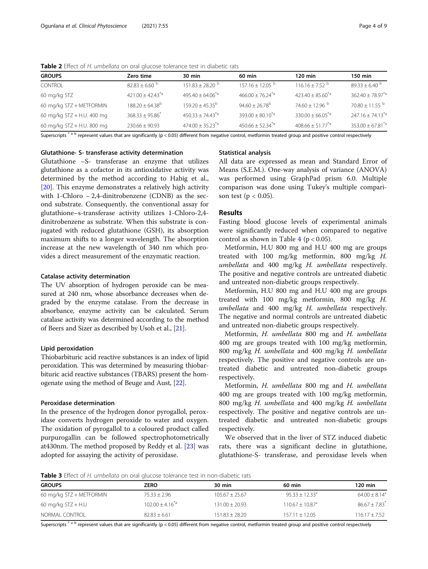| <b>GROUPS</b>              | Zero time                              | 30 min                      | 60 min                          | $120$ min                      | 150 min                     |
|----------------------------|----------------------------------------|-----------------------------|---------------------------------|--------------------------------|-----------------------------|
| CONTROL                    | $82.83 \pm 6.60$ b                     | $151.83 + 28.20^{b}$        | $157.16 \pm 12.05$ <sup>b</sup> | $116.16 \pm 7.52$ <sup>b</sup> | $89.33 \pm 6.40^{\circ}$    |
| 60 mg/kg STZ               | $421.00 \pm 42.43^{\ast}$ <sup>a</sup> | $495.40 \pm 64.06^{*}$ a    | $466.00 \pm 76.24^{\ast}$ a     | $423.40 \pm 85.60^{*a}$        | $362.40 \pm 78.97^{\ast}$ a |
| 60 mg/kg STZ + METFORMIN   | $188.20 \pm 64.38$ <sup>b</sup>        | $159.20 \pm 45.35^{\circ}$  | $94.60 \pm 26.78$ <sup>b</sup>  | $74.60 \pm 12.96$ b            | $70.80 \pm 11.55$ b         |
| 60 mg/kg STZ + H.U. 400 mg | $368.33 + 95.86$                       | $450.33 \pm 74.43^{\ast}$ a | $393.00 \pm 80.10^{4}$          | $330.00 \pm 66.05^{4}$         | $247.16 \pm 74.13^{\ast}$ a |
| 60 mg/kg STZ + H.U. 800 mg | $230.66 + 90.93$                       | $474.00 \pm 35.23^{\ast a}$ | $450.66 \pm 52.34^{\text{*a}}$  | $408.66 \pm 51.77^{*a}$        | $353.00 \pm 67.81^{\ast}$ a |
|                            |                                        |                             |                                 |                                |                             |

<span id="page-3-0"></span>Table 2 Effect of H. umbellata on oral glucose tolerance test in diabetic rats

Superscripts<sup>\*ab</sup> represent values that are significantly (p < 0.05) different from negative control, metformin treated group and positive control respectively

### Glutathione- S- transferase activity determination

Glutathione –S- transferase an enzyme that utilizes glutathione as a cofactor in its antioxidative activity was determined by the method according to Habig et al., [[20\]](#page-7-0). This enzyme demonstrates a relatively high activity with 1-Chloro − 2,4-dinitrobenzene (CDNB) as the second substrate. Consequently, the conventional assay for glutathione–s-transferase activity utilizes 1-Chloro-2,4 dinitrobenzene as substrate. When this substrate is conjugated with reduced glutathione (GSH), its absorption maximum shifts to a longer wavelength. The absorption increase at the new wavelength of 340 nm which provides a direct measurement of the enzymatic reaction.

#### Catalase activity determination

The UV absorption of hydrogen peroxide can be measured at 240 nm, whose absorbance decreases when degraded by the enzyme catalase. From the decrease in absorbance, enzyme activity can be calculated. Serum catalase activity was determined according to the method of Beers and Sizer as described by Usoh et al., [\[21](#page-7-0)].

#### Lipid peroxidation

Thiobarbituric acid reactive substances is an index of lipid peroxidation. This was determined by measuring thiobarbituric acid reactive substances (TBARS) present the homogenate using the method of Beuge and Aust, [\[22](#page-7-0)].

### Peroxidase determination

In the presence of the hydrogen donor pyrogallol, peroxidase converts hydrogen peroxide to water and oxygen. The oxidation of pyrogallol to a coloured product called purpurogallin can be followed spectrophotometrically at430nm. The method proposed by Reddy et al. [\[23](#page-7-0)] was adopted for assaying the activity of peroxidase.

## Statistical analysis

All data are expressed as mean and Standard Error of Means (S.E.M.). One-way analysis of variance (ANOVA) was performed using GraphPad prism 6.0. Multiple comparison was done using Tukey's multiple comparison test ( $p < 0.05$ ).

### Results

Fasting blood glucose levels of experimental animals were significantly reduced when compared to negative control as shown in Table  $4$  ( $p < 0.05$ ).

Metformin, H.U 800 mg and H.U 400 mg are groups treated with 100 mg/kg metformin, 800 mg/kg H. umbellata and 400 mg/kg H. umbellata respectively. The positive and negative controls are untreated diabetic and untreated non-diabetic groups respectively.

Metformin, H.U 800 mg and H.U 400 mg are groups treated with 100 mg/kg metformin, 800 mg/kg H. umbellata and 400 mg/kg H. umbellata respectively. The negative and normal controls are untreated diabetic and untreated non-diabetic groups respectively.

Metformin, H. umbellata 800 mg and H. umbellata 400 mg are groups treated with 100 mg/kg metformin, 800 mg/kg H. umbellata and 400 mg/kg H. umbellata respectively. The positive and negative controls are untreated diabetic and untreated non-diabetic groups respectively.

Metformin, H. umbellata 800 mg and H. umbellata 400 mg are groups treated with 100 mg/kg metformin, 800 mg/kg H. umbellata and 400 mg/kg H. umbellata respectively. The positive and negative controls are untreated diabetic and untreated non-diabetic groups respectively.

We observed that in the liver of STZ induced diabetic rats, there was a significant decline in glutathione, glutathione-S- transferase, and peroxidase levels when

**Table 3** Effect of H. umbellata on oral glucose tolerance test in non-diabetic rats

| <b>GROUPS</b>            | ZERO                | 30 min             | 60 min                          | 120 min                       |
|--------------------------|---------------------|--------------------|---------------------------------|-------------------------------|
| 60 mg/kg STZ + METFORMIN | $75.33 \pm 2.96$    | $105.67 \pm 25.67$ | $95.33 + 12.33*$                | $64.00 + 8.14*$               |
| 60 mg/kg $STZ + H.U$     | $102.00 + 4.16^{4}$ | $131.00 \pm 20.93$ | $110.67 \pm 10.87$ <sup>*</sup> | $86.67 \pm 7.83$ <sup>*</sup> |
| NORMAI CONTROI           | $82.83 + 6.61$      | $151.83 + 28.20$   | $157.11 \pm 12.05$              | $116.17 \pm 7.52$             |

Superscripts<sup>\*ab</sup> represent values that are significantly (p < 0.05) different from negative control, metformin treated group and positive control respectively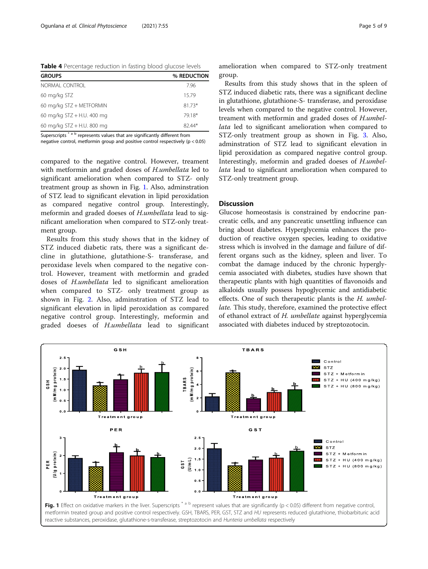<span id="page-4-0"></span>Table 4 Percentage reduction in fasting blood glucose levels

| <b>GROUPS</b>              | % REDUCTION |
|----------------------------|-------------|
| NORMAI CONTROI             | 796         |
| 60 mg/kg STZ               | 1579        |
| 60 mg/kg STZ + METFORMIN   | $81.73*$    |
| 60 mg/kg STZ + H.U. 400 mg | 7918*       |
| 60 mg/kg STZ + H.U. 800 mg | $82.44*$    |

Superscripts<sup>\*ab</sup> represents values that are significantly different from

negative control, metformin group and positive control respectively (p < 0.05)

compared to the negative control. However, treament with metformin and graded doses of *H.umbellata* led to significant amelioration when compared to STZ- only treatment group as shown in Fig. 1. Also, adminstration of STZ lead to significant elevation in lipid peroxidation as compared negative control group. Interestingly, meformin and graded doeses of H.umbellata lead to significant amelioration when compared to STZ-only treatment group.

Results from this study shows that in the kidney of STZ induced diabetic rats, there was a significant decline in glutathione, glutathione-S- transferase, and peroxidase levels when compared to the negative control. However, treament with metformin and graded doses of H.umbellata led to significant amelioration when compared to STZ- only treatment group as shown in Fig. [2.](#page-5-0) Also, adminstration of STZ lead to significant elevation in lipid peroxidation as compared negative control group. Interestingly, meformin and graded doeses of H.umbellata lead to significant

Results from this study shows that in the spleen of STZ induced diabetic rats, there was a significant decline in glutathione, glutathione-S- transferase, and peroxidase levels when compared to the negative control. However, treament with metformin and graded doses of H.umbellata led to significant amelioration when compared to STZ-only treatment group as shown in Fig. [3](#page-5-0). Also, adminstration of STZ lead to significant elevation in lipid peroxidation as compared negative control group. Interestingly, meformin and graded doeses of H.umbellata lead to significant amelioration when compared to STZ-only treatment group.

## Discussion

Glucose homeostasis is constrained by endocrine pancreatic cells, and any pancreatic unsettling influence can bring about diabetes. Hyperglycemia enhances the production of reactive oxygen species, leading to oxidative stress which is involved in the damage and failure of different organs such as the kidney, spleen and liver. To combat the damage induced by the chronic hyperglycemia associated with diabetes, studies have shown that therapeutic plants with high quantities of flavonoids and alkaloids usually possess hypoglycemic and antidiabetic effects. One of such therapeutic plants is the H. umbellate. This study, therefore, examined the protective effect of ethanol extract of H. umbellate against hyperglycemia associated with diabetes induced by streptozotocin.



reactive substances, peroxidase, glutathione-s-transferase, streptozotocin and Hunteria umbellata respectively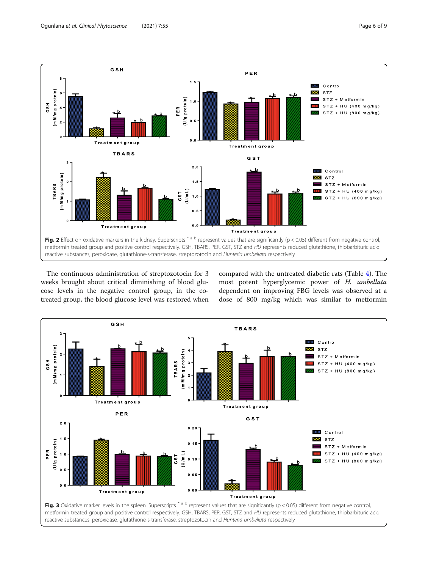

<span id="page-5-0"></span>

The continuous administration of streptozotocin for 3 weeks brought about critical diminishing of blood glucose levels in the negative control group, in the cotreated group, the blood glucose level was restored when compared with the untreated diabetic rats (Table [4](#page-4-0)). The most potent hyperglycemic power of H. umbellata dependent on improving FBG levels was observed at a dose of 800 mg/kg which was similar to metformin

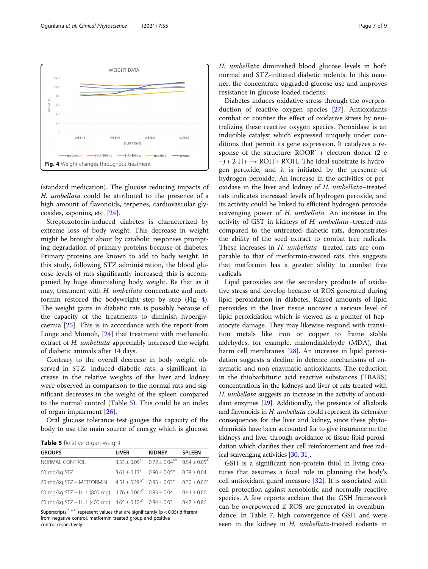(standard medication). The glucose reducing impacts of H. umbellata could be attributed to the presence of a high amount of flavonoids, terpenes, cardiovascular glycosides, saponins, etc. [\[24\]](#page-8-0).

Streptozotocin-induced diabetes is characterized by extreme loss of body weight. This decrease in weight might be brought about by catabolic responses prompting degradation of primary proteins because of diabetes. Primary proteins are known to add to body weight. In this study, following STZ administration, the blood glucose levels of rats significantly increased; this is accompanied by huge diminishing body weight. Be that as it may, treatment with H. umbellata concentrate and metformin restored the bodyweight step by step (Fig. 4). The weight gains in diabetic rats is possibly because of the capacity of the treatments to diminish hyperglycaemia [[25\]](#page-8-0). This is in accordance with the report from Longe and Momoh, [[24\]](#page-8-0) that treatment with methanolic extract of H. umbellata appreciably increased the weight of diabetic animals after 14 days.

Contrary to the overall decrease in body weight observed in STZ- induced diabetic rats, a significant increase in the relative weights of the liver and kidney were observed in comparison to the normal rats and significant decreases in the weight of the spleen compared to the normal control (Table 5). This could be an index of organ impairment [[26\]](#page-8-0).

Oral glucose tolerance test gauges the capacity of the body to use the main source of energy which is glucose.

Table 5 Relative organ weight

| <b>GROUPS</b>                                                     | <b>LIVER</b>                       | <b>KIDNEY</b>        | <b>SPLEEN</b>         |
|-------------------------------------------------------------------|------------------------------------|----------------------|-----------------------|
| NORMAL CONTROL                                                    | $3.53 \pm 0.09^a$                  | $0.72 \pm 0.04^{ab}$ | $0.54 + 0.05^{\circ}$ |
| 60 mg/kg STZ                                                      | $3.61 + 0.17^a$ $0.90 + 0.05^*$    |                      | $0.38 + 0.04$         |
| 60 mg/kg STZ + METFORMIN                                          | $4.51 + 0.29^{b*}$ $0.93 + 0.03^*$ |                      | $0.30 \pm 0.06^*$     |
| 60 mg/kg STZ + H.U. (800 mg) $4.76 \pm 0.06^{6*}$ 0.83 $\pm$ 0.04 |                                    |                      | $0.44 \pm 0.06$       |
| 60 mg/kg STZ + H.U. (400 mg) $4.65 \pm 0.12^{b*}$ 0.84 $\pm$ 0.03 |                                    |                      | $0.47 \pm 0.86$       |

Superscripts \*  $a$  b represent values that are significantly (p < 0.05) different from negative control, metformin treated group and positive control respectively

H. umbellata diminished blood glucose levels in both normal and STZ-initiated diabetic rodents. In this manner, the concentrate upgraded glucose use and improves resistance in glucose loaded rodents.

Diabetes induces oxidative stress through the overproduction of reactive oxygen species [\[27\]](#page-8-0). Antioxidants combat or counter the effect of oxidative stress by neutralizing these reactive oxygen species. Peroxidase is an inducible catalyst which expressed uniquely under conditions that permit its gene expression. It catalyzes a response of the structure: ROOR' + electron donor (2 e  $-$ ) + 2 H +  $\rightarrow$  ROH + R'OH. The ideal substrate is hydrogen peroxide, and it is initiated by the presence of hydrogen peroxide. An increase in the activities of peroxidase in the liver and kidney of H. umbellata–treated rats indicates increased levels of hydrogen peroxide, and its activity could be linked to efficient hydrogen peroxide scavenging power of H. umbellata. An increase in the activity of GST in kidneys of H. umbellata–treated rats compared to the untreated diabetic rats, demonstrates the ability of the seed extract to combat free radicals. These increases in H. umbellata- treated rats are comparable to that of metformin-treated rats, this suggests that metformin has a greater ability to combat free radicals.

Lipid peroxides are the secondary products of oxidative stress and develop because of ROS generated during lipid peroxidation in diabetes. Raised amounts of lipid peroxides in the liver tissue uncover a serious level of lipid peroxidation which is viewed as a pointer of hepatocyte damage. They may likewise respond with transition metals like iron or copper to frame stable aldehydes, for example, malondialdehyde (MDA), that harm cell membranes [[28\]](#page-8-0). An increase in lipid peroxidation suggests a decline in defence mechanisms of enzymatic and non-enzymatic antioxidants. The reduction in the thiobarbituric acid reactive substances (TBARS) concentrations in the kidneys and liver of rats treated with H. umbellata suggests an increase in the activity of antioxidant enzymes [[29](#page-8-0)]. Additionally, the presence of alkaloids and flavonoids in H. umbellata could represent its defensive consequences for the liver and kidney, since these phytochemicals have been accounted for to give insurance on the kidneys and liver through avoidance of tissue lipid peroxidation which clarifies their cell reinforcement and free radical scavenging activities [[30](#page-8-0), [31](#page-8-0)].

GSH is a significant non-protein thiol in living creatures that assumes a focal role in planning the body's cell antioxidant guard measure [[32](#page-8-0)]. It is associated with cell protection against xenobiotic and normally reactive species. A few reports acclaim that the GSH framework can be overpowered if ROS are generated in overabundance. In Table 7, high convergence of GSH and were seen in the kidney in H. umbellata-treated rodents in



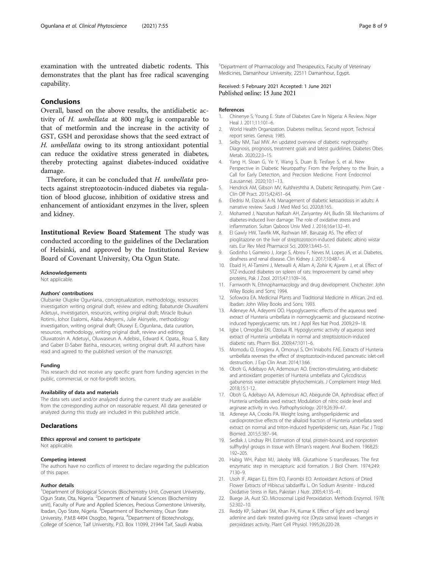<span id="page-7-0"></span>examination with the untreated diabetic rodents. This demonstrates that the plant has free radical scavenging capability.

## Conclusions

Overall, based on the above results, the antidiabetic activity of H. umbellata at 800 mg/kg is comparable to that of metformin and the increase in the activity of GST, GSH and peroxidase shows that the seed extract of H. umbellata owing to its strong antioxidant potential can reduce the oxidative stress generated in diabetes, thereby protecting against diabetes-induced oxidative damage.

Therefore, it can be concluded that H. umbellata protects against streptozotocin-induced diabetes via regulation of blood glucose, inhibition of oxidative stress and enhancement of antioxidant enzymes in the liver, spleen and kidney.

Institutional Review Board Statement The study was conducted according to the guidelines of the Declaration of Helsinki, and approved by the Institutional Review Board of Covenant University, Ota Ogun State.

#### Acknowledgements

Not applicable.

#### Authors' contributions

Olubanke Olujoke Ogunlana., conceptualization, methodology, resources investigation writing original draft, review and editing; Babatunde Oluwafemi Adetuyi., investigation, resources, writing original draft; Miracle Ibukun Rotimi., lohor Esalomi., Alaba Adeyemi., Julie Akinyele., methodology investigation, writing original draft; Oluseyi E. Ogunlana., data curation, resources, methodology, writing original draft, review and editing; Oluwatosin A. Adetuyi., Oluwaseun A. Adebisi., Edward K. Opata., Roua S. Baty and Gaber El-Saber Batiha., resources, writing original draft. All authors have read and agreed to the published version of the manuscript.

#### Funding

This research did not receive any specific grant from funding agencies in the public, commercial, or not-for-profit sectors.

#### Availability of data and materials

The data sets used and/or analyzed during the current study are available from the corresponding author on reasonable request. All data generated or analyzed during this study are included in this published article.

#### Declarations

#### Ethics approval and consent to participate

Not applicable.

#### Competing interest

The authors have no conflicts of interest to declare regarding the publication of this paper.

#### Author details

<sup>1</sup>Department of Biological Sciences (Biochemistry Unit, Covenant University, Ogun State, Ota, Nigeria. <sup>2</sup>Department of Natural Sciences (Biochemistry unit), Faculty of Pure and Applied Sciences, Precious Cornerstone University, Ibadan, Oyo State, Nigeria. <sup>3</sup> Department of Biochemistry, Osun State University, P.M.B 4494 Osogbo, Nigeria. <sup>4</sup>Department of Biotechnology, College of Science, Taif University, P.O. Box 11099, 21944 Taif, Saudi Arabia.

5 Department of Pharmacology and Therapeutics, Faculty of Veterinary Medicines, Damanhour University, 22511 Damanhour, Egypt.

Received: 5 February 2021 Accepted: 1 June 2021<br>Published online: 15 June 2021

#### References

- 1. Chinenye S, Young E. State of Diabetes Care In Nigeria: A Review. Niger Heal J. 2011;11:101–6.
- 2. World Health Organization. Diabetes mellitus. Second report, Technical report series. Geneva; 1985.
- 3. Selby NM, Taal MW. An updated overview of diabetic nephropathy: Diagnosis, prognosis, treatment goals and latest guidelines. Diabetes Obes Metab. 2020;22:3–15.
- 4. Yang H, Sloan G, Ye Y, Wang S, Duan B, Tesfaye S, et al. New Perspective in Diabetic Neuropathy: From the Periphery to the Brain, a Call for Early Detection, and Precision Medicine. Front Endocrinol (Lausanne). 2020;10:1–13.
- 5. Hendrick AM, Gibson MV, Kulshreshtha A. Diabetic Retinopathy. Prim Care Clin Off Pract. 2015;42:451–64.
- 6. Eledrisi M, Elzouki A-N. Management of diabetic ketoacidosis in adults: A narrative review. Saudi J Med Med Sci. 2020;8:165.
- 7. Mohamed J, Nazratun Nafizah AH, Zariyantey AH, Budin SB. Mechanisms of diabetes-induced liver damage: The role of oxidative stress and inflammation. Sultan Qaboos Univ Med J. 2016;16:e132–41.
- 8. El Gawly HW, Tawfik MK, Rashwan MF, Baruzaig AS. The effect of pioglitazone on the liver of streptozotocin-induced diabetic albino wistar rats. Eur Rev Med Pharmacol Sci. 2009;13:443–51.
- 9. Godinho I, Gameiro J, Jorge S, Abreu F, Neves M, Lopes JA, et al. Diabetes, deafness and renal disease. Clin Kidney J. 2017;10:487–9.
- 10. Ebaid H, Al-Tamimi J, Metwalli A, Allam A, Zohir K, Ajarem J, et al. Effect of STZ-induced diabetes on spleen of rats: Improvement by camel whey proteins. Pak J Zool. 2015;47:1109–16.
- 11. Farnworth N. Ethnopharmacology and drug development. Chichester: John Wiley Books and Sons; 1994.
- 12. Sofowora EA. Medicinal Plants and Traditional Medicine in African. 2nd ed. Ibadan: John Wiley Books and Sons; 1993.
- 13. Adeneye AA, Adeyemi OO. Hypoglycaemic effects of the aqueous seed extract of Hunteria umbellata in normoglycaemic and glucoseand nicotineinduced hyperglycaemic rats. Int J Appl Res Nat Prod. 2009;2:9–18.
- 14. Igbe I, Omogbai EKI, Ozolua RI. Hypoglycemic activity of aqueous seed extract of Hunteria umbellata in normal and streptozotocin-induced diabetic rats. Pharm Biol. 2009;47:1011–6.
- 15. Momodu O, Enogieru A, Omoruyi S, Om`Iniabohs FAE. Extracts of Hunteria umbellata reverses the effect of streptozotocin-induced pancreatic islet-cell destruction. J Exp Clin Anat. 2014;13:66.
- 16. Oboh G, Adebayo AA, Ademosun AO. Erection-stimulating, anti-diabetic and antioxidant properties of Hunteria umbellata and Cylicodiscus gabunensis water extractable phytochemicals. J Complement Integr Med. 2018;15:1-12.
- 17. Oboh G, Adebayo AA, Ademosun AO, Abegunde OA. Aphrodisiac effect of Hunteria umbellata seed extract: Modulation of nitric oxide level and arginase activity in vivo. Pathophysiology. 2019;26:39–47.
- 18. Adeneye AA, Crooks PA. Weight losing, antihyperlipidemic and cardioprotective effects of the alkaloid fraction of Hunteria umbellata seed extract on normal and triton-induced hyperlipidemic rats. Asian Pac J Trop Biomed. 2015;5:387–94.
- 19. Sedlak J, Lindsay RH. Estimation of total, protein-bound, and nonprotein sulfhydryl groups in tissue with Ellman's reagent. Anal Biochem. 1968;25: 192–205.
- 20. Habig WH, Pabst MJ, Jakoby WB. Glutathione S transferases. The first enzymatic step in mercapturic acid formation. J Biol Chem. 1974;249: 7130–9.
- 21. Usoh IF, Akpan EJ, Etim EO, Farombi EO. Antioxidant Actions of Dried Flower Extracts of Hibiscus sabdariffa L. On Sodium Arsenite - Induced Oxidative Stress in Rats. Pakistan J Nutr. 2005;4:135–41.
- 22. Buege JA, Aust SD. Microsomal Lipid Peroxidation. Methods Enzymol. 1978; 52:302–10.
- 23. Reddy KP, Subhani SM, Khan PA, Kumar K. Effect of light and benzyl adenine and dark- treated graving rice (Oryza sativa) leaves –changes in peroxidases activity. Plant Cell Physiol. 1995;26:220-28.